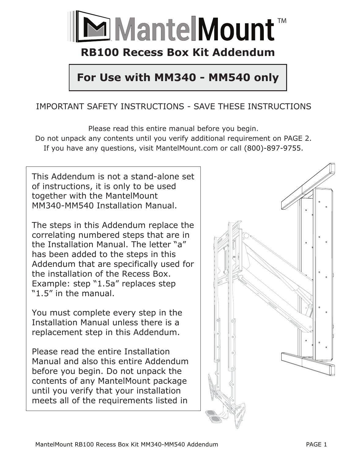

## **RB100 Recess Box Kit Addendum**

## **For Use with MM340 - MM540 only**

## IMPORTANT SAFETY INSTRUCTIONS - SAVE THESE INSTRUCTIONS

Please read this entire manual before you begin. Do not unpack any contents until you verify additional requirement on PAGE 2. If you have any questions, visit MantelMount.com or call (800)-897-9755.

This Addendum is not a stand-alone set of instructions, it is only to be used together with the MantelMount MM340-MM540 Installation Manual.

The steps in this Addendum replace the correlating numbered steps that are in the Installation Manual. The letter "a" has been added to the steps in this Addendum that are specifically used for the installation of the Recess Box. Example: step "1.5a" replaces step "1.5" in the manual.

You must complete every step in the Installation Manual unless there is a replacement step in this Addendum.

Please read the entire Installation Manual and also this entire Addendum before you begin. Do not unpack the contents of any MantelMount package until you verify that your installation meets all of the requirements listed in

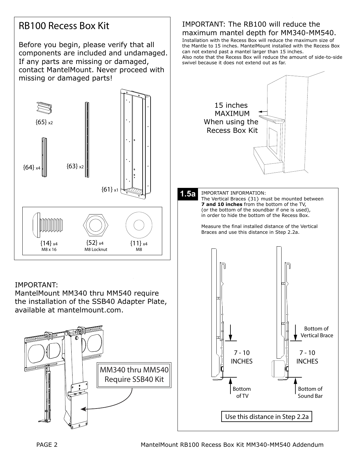## RB100 Recess Box Kit

Before you begin, please verify that all components are included and undamaged. If any parts are missing or damaged, contact MantelMount. Never proceed with missing or damaged parts!



## IMPORTANT:

MantelMount MM340 thru MM540 require the installation of the SSB40 Adapter Plate, available at mantelmount.com.



## IMPORTANT: The RB100 will reduce the maximum mantel depth for MM340-MM540.

Installation with the Recess Box will reduce the maximum size of the Mantle to 15 inches. MantelMount installed with the Recess Box can not extend past a mantel larger than 15 inches. Also note that the Recess Box will reduce the amount of side-to-side swivel because it does not extend out as far.



#### IMPORTANT INFORMATION: **1.5a**

The Vertical Braces {31} must be mounted between **7 and 10 inches** from the bottom of the TV, (or the bottom of the soundbar if one is used), in order to hide the bottom of the Recess Box.

Measure the final installed distance of the Vertical Braces and use this distance in Step 2.2a.

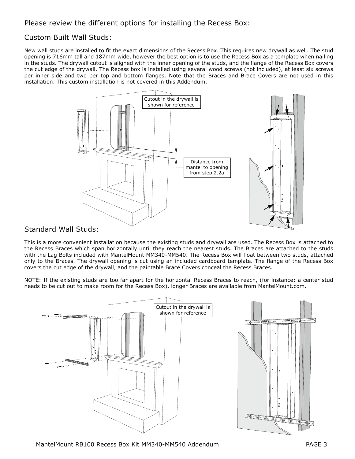#### Custom Built Wall Studs:

New wall studs are installed to fit the exact dimensions of the Recess Box. This requires new drywall as well. The stud opening is 716mm tall and 187mm wide, however the best option is to use the Recess Box as a template when nailing in the studs. The drywall cutout is aligned with the inner opening of the studs, and the flange of the Recess Box covers the cut edge of the drywall. The Recess box is installed using several wood screws (not included), at least six screws per inner side and two per top and bottom flanges. Note that the Braces and Brace Covers are not used in this installation. This custom installation is not covered in this Addendum.



#### Standard Wall Studs:

This is a more convenient installation because the existing studs and drywall are used. The Recess Box is attached to the Recess Braces which span horizontally until they reach the nearest studs. The Braces are attached to the studs with the Lag Bolts included with MantelMount MM340-MM540. The Recess Box will float between two studs, attached only to the Braces. The drywall opening is cut using an included cardboard template. The flange of the Recess Box covers the cut edge of the drywall, and the paintable Brace Covers conceal the Recess Braces.

NOTE: If the existing studs are too far apart for the horizontal Recess Braces to reach, (for instance: a center stud needs to be cut out to make room for the Recess Box), longer Braces are available from MantelMount.com.



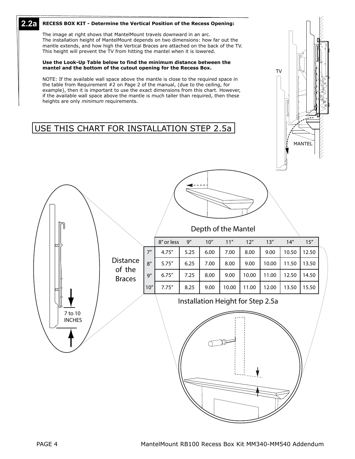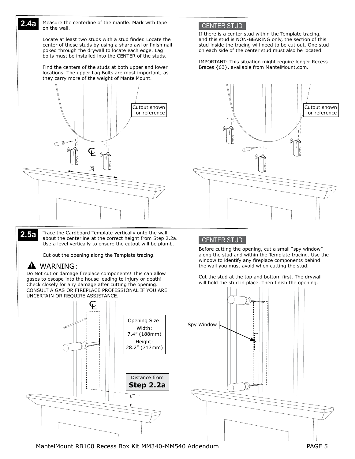**2.4a** Measure the centerline of the mantle. Mark with tape CENTER STUD on the wall.

Locate at least two studs with a stud finder. Locate the center of these studs by using a sharp awl or finish nail poked through the drywall to locate each edge. Lag bolts must be installed into the CENTER of the studs.

Find the centers of the studs at both upper and lower locations. The upper Lag Bolts are most important, as they carry more of the weight of MantelMount.



Trace the Cardboard Template vertically onto the wall about the centerline at the correct height from Step 2.2a. Use a level vertically to ensure the cutout will be plumb. **2.5a**

Cut out the opening along the Template tracing.

#### **A** WARNING:

Do Not cut or damage fireplace components! This can allow gases to escape into the house leading to injury or death! Check closely for any damage after cutting the opening. CONSULT A GAS OR FIREPLACE PROFESSIONAL IF YOU ARE UNCERTAIN OR REQUIRE ASSISTANCE.



If there is a center stud within the Template tracing, and this stud is NON-BEARING only, the section of this stud inside the tracing will need to be cut out. One stud on each side of the center stud must also be located.

IMPORTANT: This situation might require longer Recess Braces {63}, available from MantelMount.com.



## CENTER STUD

Before cutting the opening, cut a small "spy window" along the stud and within the Template tracing. Use the window to identify any fireplace components behind the wall you must avoid when cutting the stud.

Cut the stud at the top and bottom first. The drywall will hold the stud in place. Then finish the opening.

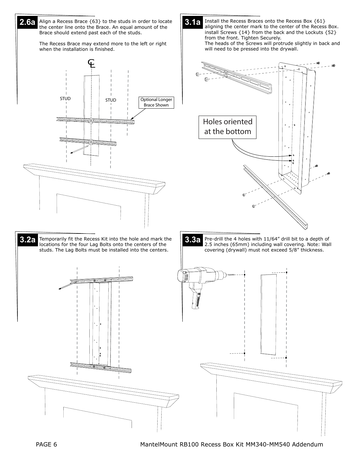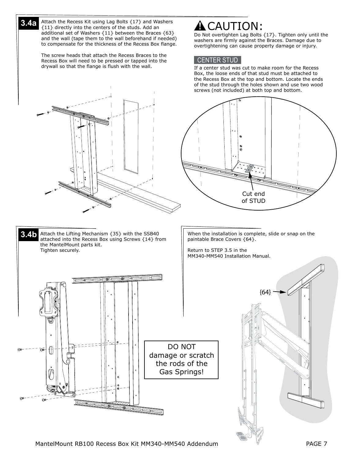Attach the Recess Kit using Lag Bolts {17} and Washers {11} directly into the centers of the studs. Add an additional set of Washers {11} between the Braces {63} and the wall (tape them to the wall beforehand if needed) to compensate for the thickness of the Recess Box flange. **3.4a**

> The screw heads that attach the Recess Braces to the Recess Box will need to be pressed or tapped into the drywall so that the flange is flush with the wall.

# $\bigwedge \mathsf{CAUTION}$  :

Do Not overtighten Lag Bolts {17}. Tighten only until the washers are firmly against the Braces. Damage due to overtightening can cause property damage or injury.

#### CENTER STUD

If a center stud was cut to make room for the Recess Box, the loose ends of that stud must be attached to the Recess Box at the top and bottom. Locate the ends of the stud through the holes shown and use two wood screws (not included) at both top and bottom.